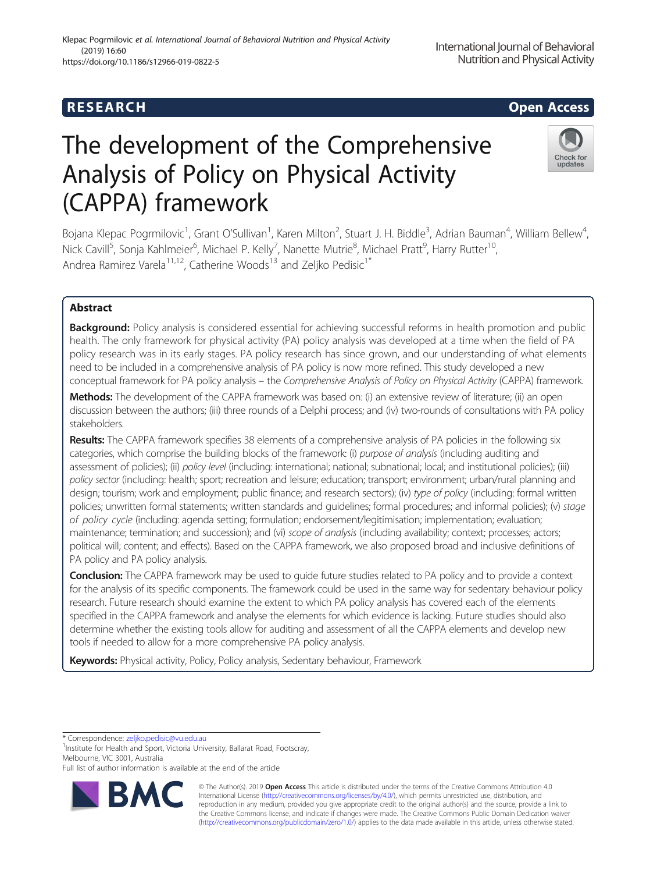### Klepac Pogrmilovic et al. International Journal of Behavioral Nutrition and Physical Activity (2019) 16:60 https://doi.org/10.1186/s12966-019-0822-5

# R E S EAR CH Open Access

Check for updates

# The development of the Comprehensive Analysis of Policy on Physical Activity (CAPPA) framework

Bojana Klepac Pogrmilovic<sup>1</sup>, Grant O'Sullivan<sup>1</sup>, Karen Milton<sup>2</sup>, Stuart J. H. Biddle<sup>3</sup>, Adrian Bauman<sup>4</sup>, William Bellew<sup>4</sup> , Nick Cavill<sup>5</sup>, Sonja Kahlmeier<sup>6</sup>, Michael P. Kelly<sup>7</sup>, Nanette Mutrie<sup>8</sup>, Michael Pratt<sup>9</sup>, Harry Rutter<sup>10</sup>, Andrea Ramirez Varela<sup>11,12</sup>, Catherine Woods<sup>13</sup> and Zeljko Pedisic<sup>1\*</sup>

# Abstract

Background: Policy analysis is considered essential for achieving successful reforms in health promotion and public health. The only framework for physical activity (PA) policy analysis was developed at a time when the field of PA policy research was in its early stages. PA policy research has since grown, and our understanding of what elements need to be included in a comprehensive analysis of PA policy is now more refined. This study developed a new conceptual framework for PA policy analysis – the Comprehensive Analysis of Policy on Physical Activity (CAPPA) framework.

Methods: The development of the CAPPA framework was based on: (i) an extensive review of literature; (ii) an open discussion between the authors; (iii) three rounds of a Delphi process; and (iv) two-rounds of consultations with PA policy stakeholders.

Results: The CAPPA framework specifies 38 elements of a comprehensive analysis of PA policies in the following six categories, which comprise the building blocks of the framework: (i) purpose of analysis (including auditing and assessment of policies); (ii) policy level (including: international; national; subnational; local; and institutional policies); (iii) policy sector (including: health; sport; recreation and leisure; education; transport; environment; urban/rural planning and design; tourism; work and employment; public finance; and research sectors); (iv) type of policy (including: formal written policies; unwritten formal statements; written standards and quidelines; formal procedures; and informal policies); (v) stage of policy cycle (including: agenda setting; formulation; endorsement/legitimisation; implementation; evaluation; maintenance; termination; and succession); and (vi) scope of analysis (including availability; context; processes; actors; political will; content; and effects). Based on the CAPPA framework, we also proposed broad and inclusive definitions of PA policy and PA policy analysis.

**Conclusion:** The CAPPA framework may be used to quide future studies related to PA policy and to provide a context for the analysis of its specific components. The framework could be used in the same way for sedentary behaviour policy research. Future research should examine the extent to which PA policy analysis has covered each of the elements specified in the CAPPA framework and analyse the elements for which evidence is lacking. Future studies should also determine whether the existing tools allow for auditing and assessment of all the CAPPA elements and develop new tools if needed to allow for a more comprehensive PA policy analysis.

Keywords: Physical activity, Policy, Policy analysis, Sedentary behaviour, Framework

\* Correspondence: [zeljko.pedisic@vu.edu.au](mailto:zeljko.pedisic@vu.edu.au) <sup>1</sup>

 $1$ Institute for Health and Sport, Victoria University, Ballarat Road, Footscray, Melbourne, VIC 3001, Australia

Full list of author information is available at the end of the article



© The Author(s). 2019 **Open Access** This article is distributed under the terms of the Creative Commons Attribution 4.0 International License [\(http://creativecommons.org/licenses/by/4.0/](http://creativecommons.org/licenses/by/4.0/)), which permits unrestricted use, distribution, and reproduction in any medium, provided you give appropriate credit to the original author(s) and the source, provide a link to the Creative Commons license, and indicate if changes were made. The Creative Commons Public Domain Dedication waiver [\(http://creativecommons.org/publicdomain/zero/1.0/](http://creativecommons.org/publicdomain/zero/1.0/)) applies to the data made available in this article, unless otherwise stated.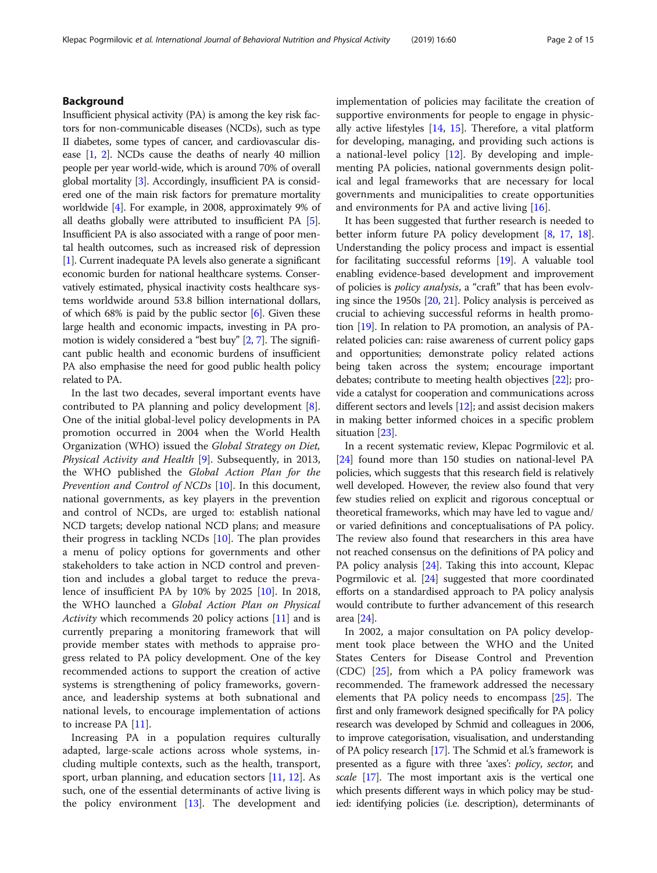# Background

Insufficient physical activity (PA) is among the key risk factors for non-communicable diseases (NCDs), such as type II diabetes, some types of cancer, and cardiovascular disease [[1](#page-13-0), [2\]](#page-13-0). NCDs cause the deaths of nearly 40 million people per year world-wide, which is around 70% of overall global mortality [\[3](#page-13-0)]. Accordingly, insufficient PA is considered one of the main risk factors for premature mortality worldwide [\[4](#page-13-0)]. For example, in 2008, approximately 9% of all deaths globally were attributed to insufficient PA [[5](#page-13-0)]. Insufficient PA is also associated with a range of poor mental health outcomes, such as increased risk of depression [[1](#page-13-0)]. Current inadequate PA levels also generate a significant economic burden for national healthcare systems. Conservatively estimated, physical inactivity costs healthcare systems worldwide around 53.8 billion international dollars, of which 68% is paid by the public sector  $[6]$ . Given these large health and economic impacts, investing in PA promotion is widely considered a "best buy" [\[2,](#page-13-0) [7](#page-13-0)]. The significant public health and economic burdens of insufficient PA also emphasise the need for good public health policy related to PA.

In the last two decades, several important events have contributed to PA planning and policy development [\[8](#page-13-0)]. One of the initial global-level policy developments in PA promotion occurred in 2004 when the World Health Organization (WHO) issued the Global Strategy on Diet, Physical Activity and Health [[9\]](#page-13-0). Subsequently, in 2013, the WHO published the Global Action Plan for the Prevention and Control of NCDs [\[10](#page-13-0)]. In this document, national governments, as key players in the prevention and control of NCDs, are urged to: establish national NCD targets; develop national NCD plans; and measure their progress in tackling NCDs [\[10](#page-13-0)]. The plan provides a menu of policy options for governments and other stakeholders to take action in NCD control and prevention and includes a global target to reduce the prevalence of insufficient PA by 10% by 2025 [\[10](#page-13-0)]. In 2018, the WHO launched a Global Action Plan on Physical Activity which recommends 20 policy actions [[11\]](#page-13-0) and is currently preparing a monitoring framework that will provide member states with methods to appraise progress related to PA policy development. One of the key recommended actions to support the creation of active systems is strengthening of policy frameworks, governance, and leadership systems at both subnational and national levels, to encourage implementation of actions to increase PA [\[11\]](#page-13-0).

Increasing PA in a population requires culturally adapted, large-scale actions across whole systems, including multiple contexts, such as the health, transport, sport, urban planning, and education sectors [[11](#page-13-0), [12](#page-13-0)]. As such, one of the essential determinants of active living is the policy environment [\[13](#page-13-0)]. The development and implementation of policies may facilitate the creation of supportive environments for people to engage in physically active lifestyles [[14,](#page-13-0) [15\]](#page-13-0). Therefore, a vital platform for developing, managing, and providing such actions is a national-level policy [\[12\]](#page-13-0). By developing and implementing PA policies, national governments design political and legal frameworks that are necessary for local governments and municipalities to create opportunities and environments for PA and active living [\[16\]](#page-13-0).

It has been suggested that further research is needed to better inform future PA policy development [\[8](#page-13-0), [17](#page-13-0), [18](#page-13-0)]. Understanding the policy process and impact is essential for facilitating successful reforms [\[19\]](#page-13-0). A valuable tool enabling evidence-based development and improvement of policies is policy analysis, a "craft" that has been evolving since the 1950s [[20](#page-13-0), [21\]](#page-13-0). Policy analysis is perceived as crucial to achieving successful reforms in health promotion [\[19\]](#page-13-0). In relation to PA promotion, an analysis of PArelated policies can: raise awareness of current policy gaps and opportunities; demonstrate policy related actions being taken across the system; encourage important debates; contribute to meeting health objectives [\[22](#page-13-0)]; provide a catalyst for cooperation and communications across different sectors and levels [\[12\]](#page-13-0); and assist decision makers in making better informed choices in a specific problem situation [\[23\]](#page-13-0).

In a recent systematic review, Klepac Pogrmilovic et al. [[24](#page-13-0)] found more than 150 studies on national-level PA policies, which suggests that this research field is relatively well developed. However, the review also found that very few studies relied on explicit and rigorous conceptual or theoretical frameworks, which may have led to vague and/ or varied definitions and conceptualisations of PA policy. The review also found that researchers in this area have not reached consensus on the definitions of PA policy and PA policy analysis [[24](#page-13-0)]. Taking this into account, Klepac Pogrmilovic et al. [\[24\]](#page-13-0) suggested that more coordinated efforts on a standardised approach to PA policy analysis would contribute to further advancement of this research area [[24\]](#page-13-0).

In 2002, a major consultation on PA policy development took place between the WHO and the United States Centers for Disease Control and Prevention (CDC) [[25](#page-13-0)], from which a PA policy framework was recommended. The framework addressed the necessary elements that PA policy needs to encompass [\[25](#page-13-0)]. The first and only framework designed specifically for PA policy research was developed by Schmid and colleagues in 2006, to improve categorisation, visualisation, and understanding of PA policy research [[17\]](#page-13-0). The Schmid et al.'s framework is presented as a figure with three 'axes': policy, sector, and scale [[17\]](#page-13-0). The most important axis is the vertical one which presents different ways in which policy may be studied: identifying policies (i.e. description), determinants of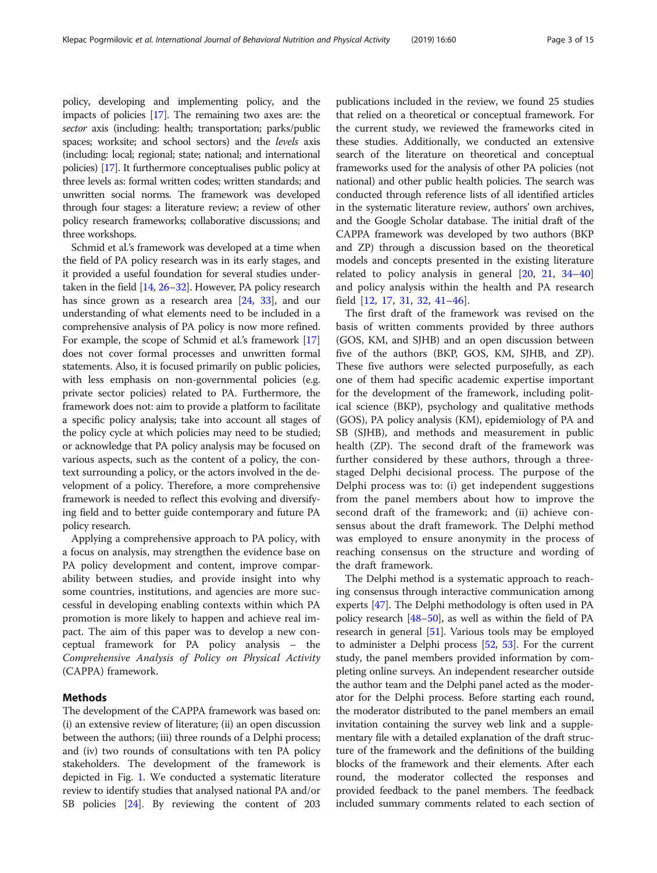policy, developing and implementing policy, and the impacts of policies [\[17](#page-13-0)]. The remaining two axes are: the sector axis (including: health; transportation; parks/public spaces; worksite; and school sectors) and the levels axis (including: local; regional; state; national; and international policies) [[17\]](#page-13-0). It furthermore conceptualises public policy at three levels as: formal written codes; written standards; and unwritten social norms. The framework was developed through four stages: a literature review; a review of other policy research frameworks; collaborative discussions; and three workshops.

Schmid et al.'s framework was developed at a time when the field of PA policy research was in its early stages, and it provided a useful foundation for several studies undertaken in the field [\[14](#page-13-0), [26](#page-13-0)–[32\]](#page-13-0). However, PA policy research has since grown as a research area [\[24,](#page-13-0) [33\]](#page-13-0), and our understanding of what elements need to be included in a comprehensive analysis of PA policy is now more refined. For example, the scope of Schmid et al.'s framework [[17](#page-13-0)] does not cover formal processes and unwritten formal statements. Also, it is focused primarily on public policies, with less emphasis on non-governmental policies (e.g. private sector policies) related to PA. Furthermore, the framework does not: aim to provide a platform to facilitate a specific policy analysis; take into account all stages of the policy cycle at which policies may need to be studied; or acknowledge that PA policy analysis may be focused on various aspects, such as the content of a policy, the context surrounding a policy, or the actors involved in the development of a policy. Therefore, a more comprehensive framework is needed to reflect this evolving and diversifying field and to better guide contemporary and future PA policy research.

Applying a comprehensive approach to PA policy, with a focus on analysis, may strengthen the evidence base on PA policy development and content, improve comparability between studies, and provide insight into why some countries, institutions, and agencies are more successful in developing enabling contexts within which PA promotion is more likely to happen and achieve real impact. The aim of this paper was to develop a new conceptual framework for PA policy analysis – the Comprehensive Analysis of Policy on Physical Activity (CAPPA) framework.

# Methods

The development of the CAPPA framework was based on: (i) an extensive review of literature; (ii) an open discussion between the authors; (iii) three rounds of a Delphi process; and (iv) two rounds of consultations with ten PA policy stakeholders. The development of the framework is depicted in Fig. [1.](#page-3-0) We conducted a systematic literature review to identify studies that analysed national PA and/or SB policies [[24](#page-13-0)]. By reviewing the content of 203 publications included in the review, we found 25 studies that relied on a theoretical or conceptual framework. For the current study, we reviewed the frameworks cited in these studies. Additionally, we conducted an extensive search of the literature on theoretical and conceptual frameworks used for the analysis of other PA policies (not national) and other public health policies. The search was conducted through reference lists of all identified articles in the systematic literature review, authors' own archives, and the Google Scholar database. The initial draft of the CAPPA framework was developed by two authors (BKP and ZP) through a discussion based on the theoretical models and concepts presented in the existing literature related to policy analysis in general [\[20](#page-13-0), [21](#page-13-0), [34](#page-13-0)–[40](#page-14-0)] and policy analysis within the health and PA research field [[12,](#page-13-0) [17](#page-13-0), [31](#page-13-0), [32](#page-13-0), [41](#page-14-0)–[46\]](#page-14-0).

The first draft of the framework was revised on the basis of written comments provided by three authors (GOS, KM, and SJHB) and an open discussion between five of the authors (BKP, GOS, KM, SJHB, and ZP). These five authors were selected purposefully, as each one of them had specific academic expertise important for the development of the framework, including political science (BKP), psychology and qualitative methods (GOS), PA policy analysis (KM), epidemiology of PA and SB (SJHB), and methods and measurement in public health (ZP). The second draft of the framework was further considered by these authors, through a threestaged Delphi decisional process. The purpose of the Delphi process was to: (i) get independent suggestions from the panel members about how to improve the second draft of the framework; and (ii) achieve consensus about the draft framework. The Delphi method was employed to ensure anonymity in the process of reaching consensus on the structure and wording of the draft framework.

The Delphi method is a systematic approach to reaching consensus through interactive communication among experts [[47](#page-14-0)]. The Delphi methodology is often used in PA policy research [\[48](#page-14-0)–[50](#page-14-0)], as well as within the field of PA research in general [[51](#page-14-0)]. Various tools may be employed to administer a Delphi process [[52](#page-14-0), [53](#page-14-0)]. For the current study, the panel members provided information by completing online surveys. An independent researcher outside the author team and the Delphi panel acted as the moderator for the Delphi process. Before starting each round, the moderator distributed to the panel members an email invitation containing the survey web link and a supplementary file with a detailed explanation of the draft structure of the framework and the definitions of the building blocks of the framework and their elements. After each round, the moderator collected the responses and provided feedback to the panel members. The feedback included summary comments related to each section of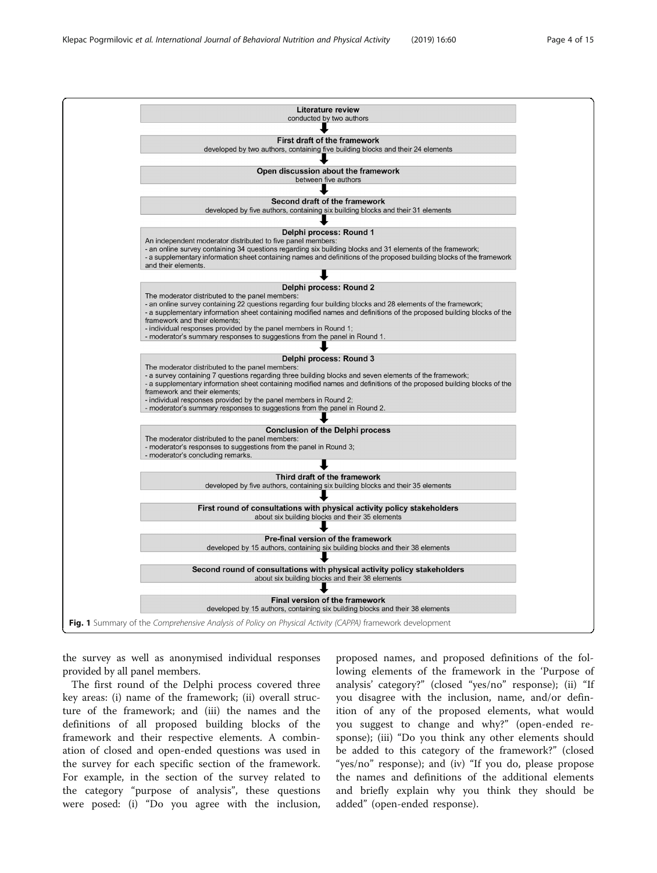<span id="page-3-0"></span>

the survey as well as anonymised individual responses provided by all panel members.

The first round of the Delphi process covered three key areas: (i) name of the framework; (ii) overall structure of the framework; and (iii) the names and the definitions of all proposed building blocks of the framework and their respective elements. A combination of closed and open-ended questions was used in the survey for each specific section of the framework. For example, in the section of the survey related to the category "purpose of analysis", these questions were posed: (i) "Do you agree with the inclusion,

proposed names, and proposed definitions of the following elements of the framework in the 'Purpose of analysis' category?" (closed "yes/no" response); (ii) "If you disagree with the inclusion, name, and/or definition of any of the proposed elements, what would you suggest to change and why?" (open-ended response); (iii) "Do you think any other elements should be added to this category of the framework?" (closed "yes/no" response); and (iv) "If you do, please propose the names and definitions of the additional elements and briefly explain why you think they should be added" (open-ended response).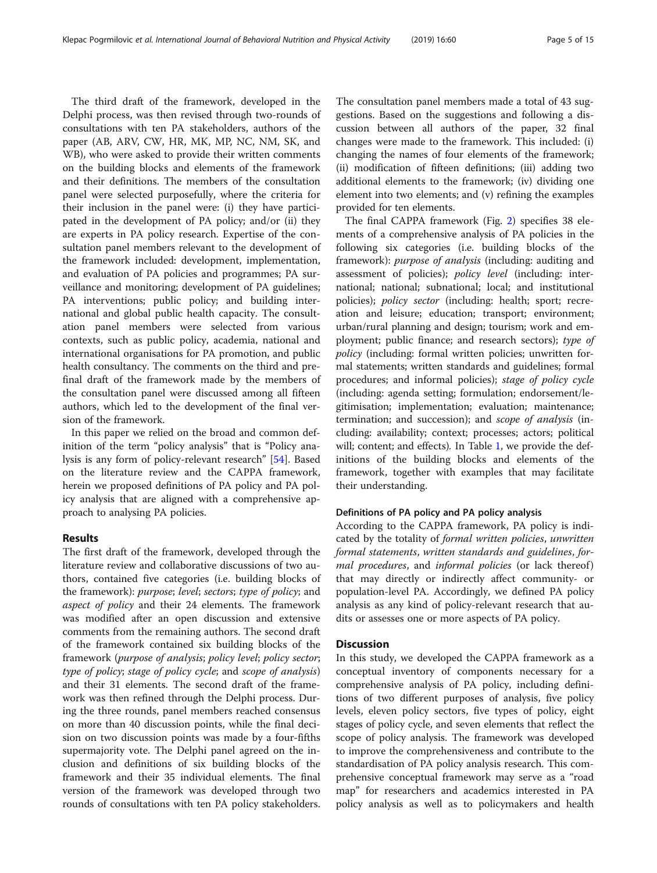The third draft of the framework, developed in the Delphi process, was then revised through two-rounds of consultations with ten PA stakeholders, authors of the paper (AB, ARV, CW, HR, MK, MP, NC, NM, SK, and WB), who were asked to provide their written comments on the building blocks and elements of the framework and their definitions. The members of the consultation panel were selected purposefully, where the criteria for their inclusion in the panel were: (i) they have participated in the development of PA policy; and/or (ii) they are experts in PA policy research. Expertise of the consultation panel members relevant to the development of the framework included: development, implementation, and evaluation of PA policies and programmes; PA surveillance and monitoring; development of PA guidelines; PA interventions; public policy; and building international and global public health capacity. The consultation panel members were selected from various contexts, such as public policy, academia, national and international organisations for PA promotion, and public health consultancy. The comments on the third and prefinal draft of the framework made by the members of the consultation panel were discussed among all fifteen authors, which led to the development of the final version of the framework.

In this paper we relied on the broad and common definition of the term "policy analysis" that is "Policy analysis is any form of policy-relevant research" [\[54\]](#page-14-0). Based on the literature review and the CAPPA framework, herein we proposed definitions of PA policy and PA policy analysis that are aligned with a comprehensive approach to analysing PA policies.

# Results

The first draft of the framework, developed through the literature review and collaborative discussions of two authors, contained five categories (i.e. building blocks of the framework): purpose; level; sectors; type of policy; and aspect of policy and their 24 elements. The framework was modified after an open discussion and extensive comments from the remaining authors. The second draft of the framework contained six building blocks of the framework (purpose of analysis; policy level; policy sector; type of policy; stage of policy cycle; and scope of analysis) and their 31 elements. The second draft of the framework was then refined through the Delphi process. During the three rounds, panel members reached consensus on more than 40 discussion points, while the final decision on two discussion points was made by a four-fifths supermajority vote. The Delphi panel agreed on the inclusion and definitions of six building blocks of the framework and their 35 individual elements. The final version of the framework was developed through two rounds of consultations with ten PA policy stakeholders.

The consultation panel members made a total of 43 suggestions. Based on the suggestions and following a discussion between all authors of the paper, 32 final changes were made to the framework. This included: (i) changing the names of four elements of the framework; (ii) modification of fifteen definitions; (iii) adding two additional elements to the framework; (iv) dividing one element into two elements; and (v) refining the examples provided for ten elements.

The final CAPPA framework (Fig. [2\)](#page-5-0) specifies 38 elements of a comprehensive analysis of PA policies in the following six categories (i.e. building blocks of the framework): *purpose of analysis* (including: auditing and assessment of policies); policy level (including: international; national; subnational; local; and institutional policies); policy sector (including: health; sport; recreation and leisure; education; transport; environment; urban/rural planning and design; tourism; work and employment; public finance; and research sectors); type of policy (including: formal written policies; unwritten formal statements; written standards and guidelines; formal procedures; and informal policies); stage of policy cycle (including: agenda setting; formulation; endorsement/legitimisation; implementation; evaluation; maintenance; termination; and succession); and scope of analysis (including: availability; context; processes; actors; political will; content; and effects). In Table [1](#page-6-0), we provide the definitions of the building blocks and elements of the framework, together with examples that may facilitate their understanding.

# Definitions of PA policy and PA policy analysis

According to the CAPPA framework, PA policy is indicated by the totality of formal written policies, unwritten formal statements, written standards and guidelines, formal procedures, and informal policies (or lack thereof) that may directly or indirectly affect community- or population-level PA. Accordingly, we defined PA policy analysis as any kind of policy-relevant research that audits or assesses one or more aspects of PA policy.

# **Discussion**

In this study, we developed the CAPPA framework as a conceptual inventory of components necessary for a comprehensive analysis of PA policy, including definitions of two different purposes of analysis, five policy levels, eleven policy sectors, five types of policy, eight stages of policy cycle, and seven elements that reflect the scope of policy analysis. The framework was developed to improve the comprehensiveness and contribute to the standardisation of PA policy analysis research. This comprehensive conceptual framework may serve as a "road map" for researchers and academics interested in PA policy analysis as well as to policymakers and health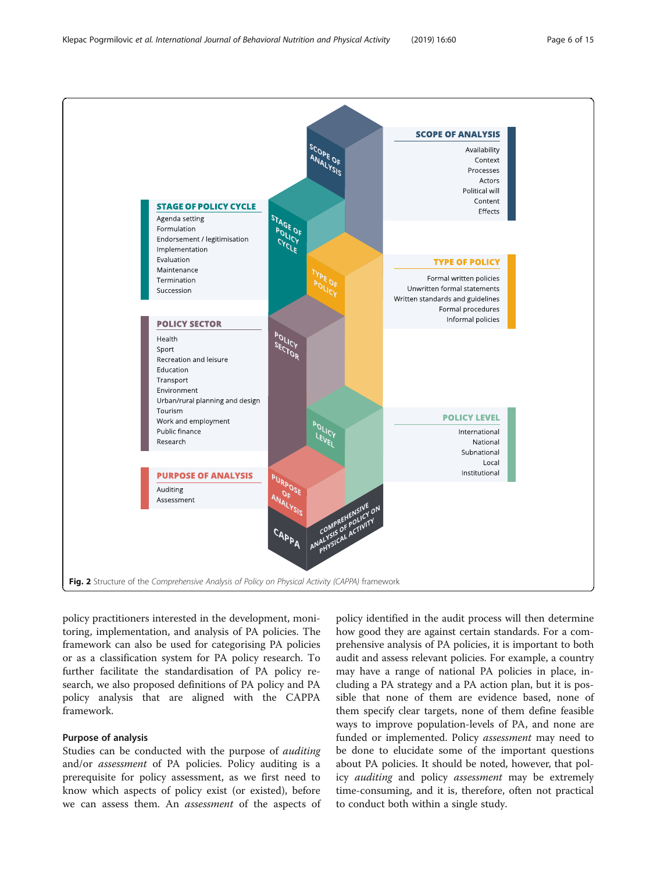<span id="page-5-0"></span>

policy practitioners interested in the development, monitoring, implementation, and analysis of PA policies. The framework can also be used for categorising PA policies or as a classification system for PA policy research. To further facilitate the standardisation of PA policy research, we also proposed definitions of PA policy and PA policy analysis that are aligned with the CAPPA framework.

# Purpose of analysis

Studies can be conducted with the purpose of auditing and/or assessment of PA policies. Policy auditing is a prerequisite for policy assessment, as we first need to know which aspects of policy exist (or existed), before we can assess them. An assessment of the aspects of

policy identified in the audit process will then determine how good they are against certain standards. For a comprehensive analysis of PA policies, it is important to both audit and assess relevant policies. For example, a country may have a range of national PA policies in place, including a PA strategy and a PA action plan, but it is possible that none of them are evidence based, none of them specify clear targets, none of them define feasible ways to improve population-levels of PA, and none are funded or implemented. Policy assessment may need to be done to elucidate some of the important questions about PA policies. It should be noted, however, that policy auditing and policy assessment may be extremely time-consuming, and it is, therefore, often not practical to conduct both within a single study.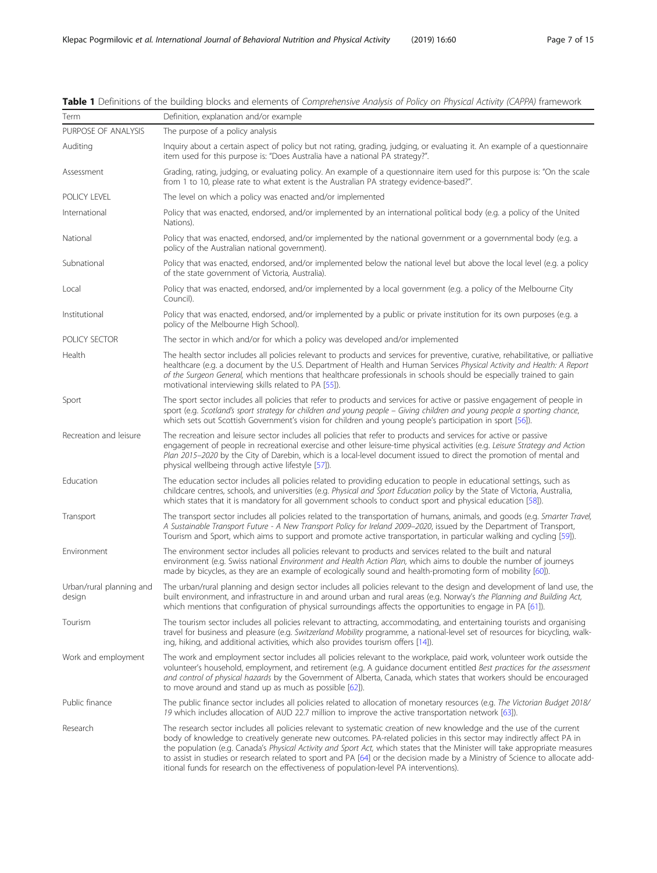| Term                               | Definition, explanation and/or example                                                                                                                                                                                                                                                                                                                                                                                                                                                                                                                                                                   |  |  |  |  |
|------------------------------------|----------------------------------------------------------------------------------------------------------------------------------------------------------------------------------------------------------------------------------------------------------------------------------------------------------------------------------------------------------------------------------------------------------------------------------------------------------------------------------------------------------------------------------------------------------------------------------------------------------|--|--|--|--|
| PURPOSE OF ANALYSIS                | The purpose of a policy analysis                                                                                                                                                                                                                                                                                                                                                                                                                                                                                                                                                                         |  |  |  |  |
| Auditing                           | Inquiry about a certain aspect of policy but not rating, grading, judging, or evaluating it. An example of a questionnaire<br>item used for this purpose is: "Does Australia have a national PA strategy?".                                                                                                                                                                                                                                                                                                                                                                                              |  |  |  |  |
| Assessment                         | Grading, rating, judging, or evaluating policy. An example of a questionnaire item used for this purpose is: "On the scale<br>from 1 to 10, please rate to what extent is the Australian PA strategy evidence-based?".                                                                                                                                                                                                                                                                                                                                                                                   |  |  |  |  |
| POLICY LEVEL                       | The level on which a policy was enacted and/or implemented                                                                                                                                                                                                                                                                                                                                                                                                                                                                                                                                               |  |  |  |  |
| International                      | Policy that was enacted, endorsed, and/or implemented by an international political body (e.g. a policy of the United<br>Nations).                                                                                                                                                                                                                                                                                                                                                                                                                                                                       |  |  |  |  |
| National                           | Policy that was enacted, endorsed, and/or implemented by the national government or a governmental body (e.g. a<br>policy of the Australian national government).                                                                                                                                                                                                                                                                                                                                                                                                                                        |  |  |  |  |
| Subnational                        | Policy that was enacted, endorsed, and/or implemented below the national level but above the local level (e.g. a policy<br>of the state government of Victoria, Australia).                                                                                                                                                                                                                                                                                                                                                                                                                              |  |  |  |  |
| Local                              | Policy that was enacted, endorsed, and/or implemented by a local government (e.g. a policy of the Melbourne City<br>Council).                                                                                                                                                                                                                                                                                                                                                                                                                                                                            |  |  |  |  |
| Institutional                      | Policy that was enacted, endorsed, and/or implemented by a public or private institution for its own purposes (e.g. a<br>policy of the Melbourne High School).                                                                                                                                                                                                                                                                                                                                                                                                                                           |  |  |  |  |
| POLICY SECTOR                      | The sector in which and/or for which a policy was developed and/or implemented                                                                                                                                                                                                                                                                                                                                                                                                                                                                                                                           |  |  |  |  |
| Health                             | The health sector includes all policies relevant to products and services for preventive, curative, rehabilitative, or palliative<br>healthcare (e.g. a document by the U.S. Department of Health and Human Services Physical Activity and Health: A Report<br>of the Surgeon General, which mentions that healthcare professionals in schools should be especially trained to gain<br>motivational interviewing skills related to PA [55]).                                                                                                                                                             |  |  |  |  |
| Sport                              | The sport sector includes all policies that refer to products and services for active or passive engagement of people in<br>sport (e.g. Scotland's sport strategy for children and young people – Giving children and young people a sporting chance,<br>which sets out Scottish Government's vision for children and young people's participation in sport [56]).                                                                                                                                                                                                                                       |  |  |  |  |
| Recreation and leisure             | The recreation and leisure sector includes all policies that refer to products and services for active or passive<br>engagement of people in recreational exercise and other leisure-time physical activities (e.g. Leisure Strategy and Action<br>Plan 2015-2020 by the City of Darebin, which is a local-level document issued to direct the promotion of mental and<br>physical wellbeing through active lifestyle [57]).                                                                                                                                                                             |  |  |  |  |
| Education                          | The education sector includes all policies related to providing education to people in educational settings, such as<br>childcare centres, schools, and universities (e.g. Physical and Sport Education policy by the State of Victoria, Australia,<br>which states that it is mandatory for all government schools to conduct sport and physical education [58]).                                                                                                                                                                                                                                       |  |  |  |  |
| Transport                          | The transport sector includes all policies related to the transportation of humans, animals, and goods (e.g. Smarter Travel,<br>A Sustainable Transport Future - A New Transport Policy for Ireland 2009-2020, issued by the Department of Transport,<br>Tourism and Sport, which aims to support and promote active transportation, in particular walking and cycling [59]).                                                                                                                                                                                                                            |  |  |  |  |
| Environment                        | The environment sector includes all policies relevant to products and services related to the built and natural<br>environment (e.g. Swiss national Environment and Health Action Plan, which aims to double the number of journeys<br>made by bicycles, as they are an example of ecologically sound and health-promoting form of mobility [60]).                                                                                                                                                                                                                                                       |  |  |  |  |
| Urban/rural planning and<br>design | The urban/rural planning and design sector includes all policies relevant to the design and development of land use, the<br>built environment, and infrastructure in and around urban and rural areas (e.g. Norway's the Planning and Building Act,<br>which mentions that configuration of physical surroundings affects the opportunities to engage in PA [61]).                                                                                                                                                                                                                                       |  |  |  |  |
| Tourism                            | The tourism sector includes all policies relevant to attracting, accommodating, and entertaining tourists and organising<br>travel for business and pleasure (e.g. Switzerland Mobility programme, a national-level set of resources for bicycling, walk-<br>ing, hiking, and additional activities, which also provides tourism offers [14]).                                                                                                                                                                                                                                                           |  |  |  |  |
| Work and employment                | The work and employment sector includes all policies relevant to the workplace, paid work, volunteer work outside the<br>volunteer's household, employment, and retirement (e.g. A quidance document entitled Best practices for the assessment<br>and control of physical hazards by the Government of Alberta, Canada, which states that workers should be encouraged<br>to move around and stand up as much as possible [62]).                                                                                                                                                                        |  |  |  |  |
| Public finance                     | The public finance sector includes all policies related to allocation of monetary resources (e.g. The Victorian Budget 2018/<br>19 which includes allocation of AUD 22.7 million to improve the active transportation network [63]).                                                                                                                                                                                                                                                                                                                                                                     |  |  |  |  |
| Research                           | The research sector includes all policies relevant to systematic creation of new knowledge and the use of the current<br>body of knowledge to creatively generate new outcomes. PA-related policies in this sector may indirectly affect PA in<br>the population (e.g. Canada's Physical Activity and Sport Act, which states that the Minister will take appropriate measures<br>to assist in studies or research related to sport and PA [64] or the decision made by a Ministry of Science to allocate add-<br>itional funds for research on the effectiveness of population-level PA interventions). |  |  |  |  |

<span id="page-6-0"></span>Table 1 Definitions of the building blocks and elements of Comprehensive Analysis of Policy on Physical Activity (CAPPA) framework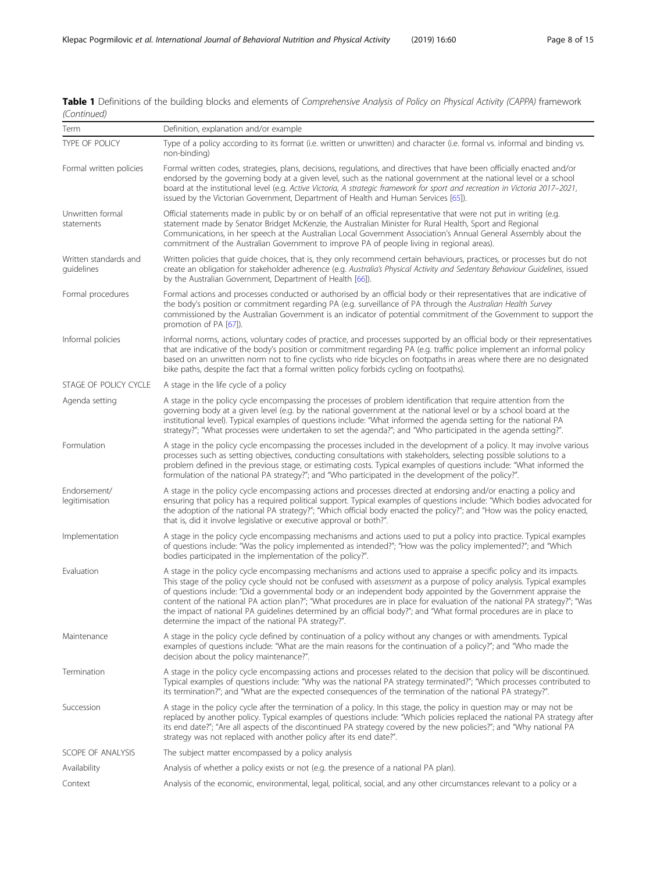| (Continued)                         |                                                                                                                                                                                                                                                                                                                                                                                                                                                                                                                                                                                                                                                                             |
|-------------------------------------|-----------------------------------------------------------------------------------------------------------------------------------------------------------------------------------------------------------------------------------------------------------------------------------------------------------------------------------------------------------------------------------------------------------------------------------------------------------------------------------------------------------------------------------------------------------------------------------------------------------------------------------------------------------------------------|
| Term                                | Definition, explanation and/or example                                                                                                                                                                                                                                                                                                                                                                                                                                                                                                                                                                                                                                      |
| TYPE OF POLICY                      | Type of a policy according to its format (i.e. written or unwritten) and character (i.e. formal vs. informal and binding vs.<br>non-binding)                                                                                                                                                                                                                                                                                                                                                                                                                                                                                                                                |
| Formal written policies             | Formal written codes, strategies, plans, decisions, regulations, and directives that have been officially enacted and/or<br>endorsed by the governing body at a given level, such as the national government at the national level or a school<br>board at the institutional level (e.g. Active Victoria, A strategic framework for sport and recreation in Victoria 2017–2021,<br>issued by the Victorian Government, Department of Health and Human Services [65]).                                                                                                                                                                                                       |
| Unwritten formal<br>statements      | Official statements made in public by or on behalf of an official representative that were not put in writing (e.g.<br>statement made by Senator Bridget McKenzie, the Australian Minister for Rural Health, Sport and Regional<br>Communications, in her speech at the Australian Local Government Association's Annual General Assembly about the<br>commitment of the Australian Government to improve PA of people living in regional areas).                                                                                                                                                                                                                           |
| Written standards and<br>guidelines | Written policies that quide choices, that is, they only recommend certain behaviours, practices, or processes but do not<br>create an obligation for stakeholder adherence (e.g. Australia's Physical Activity and Sedentary Behaviour Guidelines, issued<br>by the Australian Government, Department of Health [66]).                                                                                                                                                                                                                                                                                                                                                      |
| Formal procedures                   | Formal actions and processes conducted or authorised by an official body or their representatives that are indicative of<br>the body's position or commitment regarding PA (e.g. surveillance of PA through the Australian Health Survey<br>commissioned by the Australian Government is an indicator of potential commitment of the Government to support the<br>promotion of PA [67]).                                                                                                                                                                                                                                                                                    |
| Informal policies                   | Informal norms, actions, voluntary codes of practice, and processes supported by an official body or their representatives<br>that are indicative of the body's position or commitment regarding PA (e.g. traffic police implement an informal policy<br>based on an unwritten norm not to fine cyclists who ride bicycles on footpaths in areas where there are no designated<br>bike paths, despite the fact that a formal written policy forbids cycling on footpaths).                                                                                                                                                                                                  |
| STAGE OF POLICY CYCLE               | A stage in the life cycle of a policy                                                                                                                                                                                                                                                                                                                                                                                                                                                                                                                                                                                                                                       |
| Agenda setting                      | A stage in the policy cycle encompassing the processes of problem identification that require attention from the<br>governing body at a given level (e.g. by the national government at the national level or by a school board at the<br>institutional level). Typical examples of questions include: "What informed the agenda setting for the national PA<br>strategy?"; "What processes were undertaken to set the agenda?"; and "Who participated in the agenda setting?".                                                                                                                                                                                             |
| Formulation                         | A stage in the policy cycle encompassing the processes included in the development of a policy. It may involve various<br>processes such as setting objectives, conducting consultations with stakeholders, selecting possible solutions to a<br>problem defined in the previous stage, or estimating costs. Typical examples of questions include: "What informed the<br>formulation of the national PA strategy?"; and "Who participated in the development of the policy?".                                                                                                                                                                                              |
| Endorsement/<br>legitimisation      | A stage in the policy cycle encompassing actions and processes directed at endorsing and/or enacting a policy and<br>ensuring that policy has a required political support. Typical examples of questions include: "Which bodies advocated for<br>the adoption of the national PA strategy?"; "Which official body enacted the policy?"; and "How was the policy enacted,<br>that is, did it involve legislative or executive approval or both?".                                                                                                                                                                                                                           |
| Implementation                      | A stage in the policy cycle encompassing mechanisms and actions used to put a policy into practice. Typical examples<br>of questions include: "Was the policy implemented as intended?"; "How was the policy implemented?"; and "Which<br>bodies participated in the implementation of the policy?".                                                                                                                                                                                                                                                                                                                                                                        |
| Evaluation                          | A stage in the policy cycle encompassing mechanisms and actions used to appraise a specific policy and its impacts.<br>This stage of the policy cycle should not be confused with assessment as a purpose of policy analysis. Typical examples<br>of questions include: "Did a governmental body or an independent body appointed by the Government appraise the<br>content of the national PA action plan?"; "What procedures are in place for evaluation of the national PA strategy?"; "Was<br>the impact of national PA guidelines determined by an official body?"; and "What formal procedures are in place to<br>determine the impact of the national PA strategy?". |
| Maintenance                         | A stage in the policy cycle defined by continuation of a policy without any changes or with amendments. Typical<br>examples of questions include: "What are the main reasons for the continuation of a policy?"; and "Who made the<br>decision about the policy maintenance?".                                                                                                                                                                                                                                                                                                                                                                                              |
| Termination                         | A stage in the policy cycle encompassing actions and processes related to the decision that policy will be discontinued.<br>Typical examples of questions include: "Why was the national PA strategy terminated?"; "Which processes contributed to<br>its termination?"; and "What are the expected consequences of the termination of the national PA strategy?".                                                                                                                                                                                                                                                                                                          |
| Succession                          | A stage in the policy cycle after the termination of a policy. In this stage, the policy in question may or may not be<br>replaced by another policy. Typical examples of questions include: "Which policies replaced the national PA strategy after<br>its end date?"; "Are all aspects of the discontinued PA strategy covered by the new policies?"; and "Why national PA<br>strategy was not replaced with another policy after its end date?".                                                                                                                                                                                                                         |
| SCOPE OF ANALYSIS                   | The subject matter encompassed by a policy analysis                                                                                                                                                                                                                                                                                                                                                                                                                                                                                                                                                                                                                         |
| Availability                        | Analysis of whether a policy exists or not (e.g. the presence of a national PA plan).                                                                                                                                                                                                                                                                                                                                                                                                                                                                                                                                                                                       |
| Context                             | Analysis of the economic, environmental, legal, political, social, and any other circumstances relevant to a policy or a                                                                                                                                                                                                                                                                                                                                                                                                                                                                                                                                                    |

Table 1 Definitions of the building blocks and elements of Comprehensive Analysis of Policy on Physical Activity (CAPPA) framework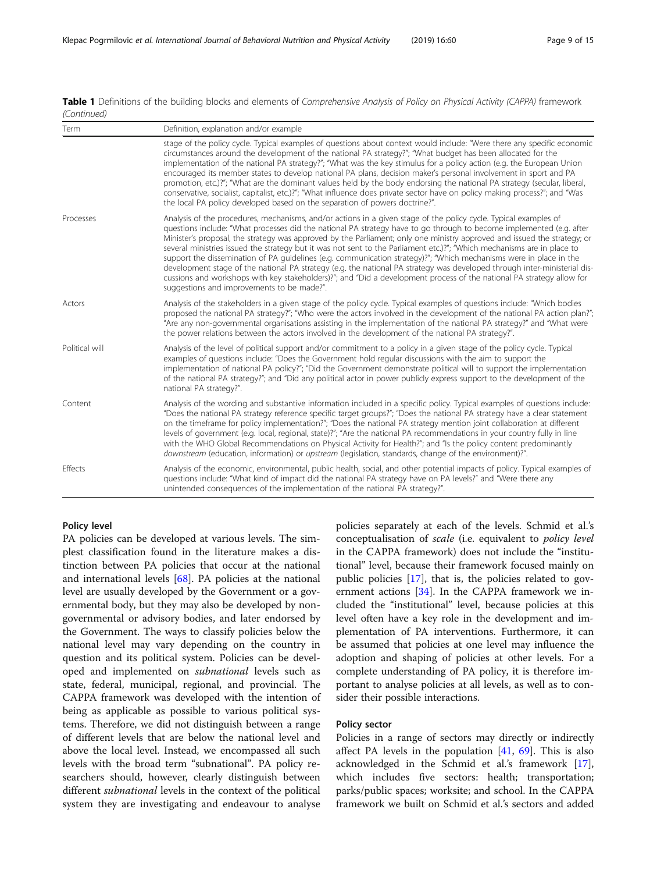|             | Table 1 Definitions of the building blocks and elements of Comprehensive Analysis of Policy on Physical Activity (CAPPA) framework |  |  |  |  |  |
|-------------|------------------------------------------------------------------------------------------------------------------------------------|--|--|--|--|--|
| (Continued) |                                                                                                                                    |  |  |  |  |  |

| Term           | Definition, explanation and/or example                                                                                                                                                                                                                                                                                                                                                                                                                                                                                                                                                                                                                                                                                                                                                                                                                                                                                    |  |  |  |  |  |  |
|----------------|---------------------------------------------------------------------------------------------------------------------------------------------------------------------------------------------------------------------------------------------------------------------------------------------------------------------------------------------------------------------------------------------------------------------------------------------------------------------------------------------------------------------------------------------------------------------------------------------------------------------------------------------------------------------------------------------------------------------------------------------------------------------------------------------------------------------------------------------------------------------------------------------------------------------------|--|--|--|--|--|--|
|                | stage of the policy cycle. Typical examples of questions about context would include: "Were there any specific economic<br>circumstances around the development of the national PA strategy?"; "What budget has been allocated for the<br>implementation of the national PA strategy?"; "What was the key stimulus for a policy action (e.g. the European Union<br>encouraged its member states to develop national PA plans, decision maker's personal involvement in sport and PA<br>promotion, etc.)?"; "What are the dominant values held by the body endorsing the national PA strategy (secular, liberal,<br>conservative, socialist, capitalist, etc.)?"; "What influence does private sector have on policy making process?"; and "Was<br>the local PA policy developed based on the separation of powers doctrine?".                                                                                             |  |  |  |  |  |  |
| Processes      | Analysis of the procedures, mechanisms, and/or actions in a given stage of the policy cycle. Typical examples of<br>questions include: "What processes did the national PA strategy have to go through to become implemented (e.g. after<br>Minister's proposal, the strategy was approved by the Parliament; only one ministry approved and issued the strategy; or<br>several ministries issued the strategy but it was not sent to the Parliament etc.)?"; "Which mechanisms are in place to<br>support the dissemination of PA quidelines (e.g. communication strategy)?"; "Which mechanisms were in place in the<br>development stage of the national PA strategy (e.g. the national PA strategy was developed through inter-ministerial dis-<br>cussions and workshops with key stakeholders)?"; and "Did a development process of the national PA strategy allow for<br>suggestions and improvements to be made?". |  |  |  |  |  |  |
| Actors         | Analysis of the stakeholders in a given stage of the policy cycle. Typical examples of questions include: "Which bodies<br>proposed the national PA strategy?"; "Who were the actors involved in the development of the national PA action plan?";<br>"Are any non-governmental organisations assisting in the implementation of the national PA strategy?" and "What were<br>the power relations between the actors involved in the development of the national PA strategy?".                                                                                                                                                                                                                                                                                                                                                                                                                                           |  |  |  |  |  |  |
| Political will | Analysis of the level of political support and/or commitment to a policy in a given stage of the policy cycle. Typical<br>examples of questions include: "Does the Government hold regular discussions with the aim to support the<br>implementation of national PA policy?"; "Did the Government demonstrate political will to support the implementation<br>of the national PA strategy?"; and "Did any political actor in power publicly express support to the development of the<br>national PA strategy?".                                                                                                                                                                                                                                                                                                                                                                                                          |  |  |  |  |  |  |
| Content        | Analysis of the wording and substantive information included in a specific policy. Typical examples of questions include:<br>"Does the national PA strategy reference specific target groups?", "Does the national PA strategy have a clear statement<br>on the timeframe for policy implementation?"; "Does the national PA strategy mention joint collaboration at different<br>levels of government (e.g. local, regional, state)?"; "Are the national PA recommendations in your country fully in line<br>with the WHO Global Recommendations on Physical Activity for Health?"; and "Is the policy content predominantly<br>downstream (education, information) or upstream (legislation, standards, change of the environment)?".                                                                                                                                                                                   |  |  |  |  |  |  |
| Effects        | Analysis of the economic, environmental, public health, social, and other potential impacts of policy. Typical examples of<br>questions include: "What kind of impact did the national PA strategy have on PA levels?" and "Were there any<br>unintended consequences of the implementation of the national PA strategy?".                                                                                                                                                                                                                                                                                                                                                                                                                                                                                                                                                                                                |  |  |  |  |  |  |

# Policy level

PA policies can be developed at various levels. The simplest classification found in the literature makes a distinction between PA policies that occur at the national and international levels [[68](#page-14-0)]. PA policies at the national level are usually developed by the Government or a governmental body, but they may also be developed by nongovernmental or advisory bodies, and later endorsed by the Government. The ways to classify policies below the national level may vary depending on the country in question and its political system. Policies can be developed and implemented on subnational levels such as state, federal, municipal, regional, and provincial. The CAPPA framework was developed with the intention of being as applicable as possible to various political systems. Therefore, we did not distinguish between a range of different levels that are below the national level and above the local level. Instead, we encompassed all such levels with the broad term "subnational". PA policy researchers should, however, clearly distinguish between different *subnational* levels in the context of the political system they are investigating and endeavour to analyse policies separately at each of the levels. Schmid et al.'s conceptualisation of scale (i.e. equivalent to policy level in the CAPPA framework) does not include the "institutional" level, because their framework focused mainly on public policies [[17\]](#page-13-0), that is, the policies related to government actions [\[34](#page-13-0)]. In the CAPPA framework we included the "institutional" level, because policies at this level often have a key role in the development and implementation of PA interventions. Furthermore, it can be assumed that policies at one level may influence the adoption and shaping of policies at other levels. For a complete understanding of PA policy, it is therefore important to analyse policies at all levels, as well as to consider their possible interactions.

# Policy sector

Policies in a range of sectors may directly or indirectly affect PA levels in the population  $[41, 69]$  $[41, 69]$  $[41, 69]$  $[41, 69]$ . This is also acknowledged in the Schmid et al.'s framework [\[17](#page-13-0)], which includes five sectors: health; transportation; parks/public spaces; worksite; and school. In the CAPPA framework we built on Schmid et al.'s sectors and added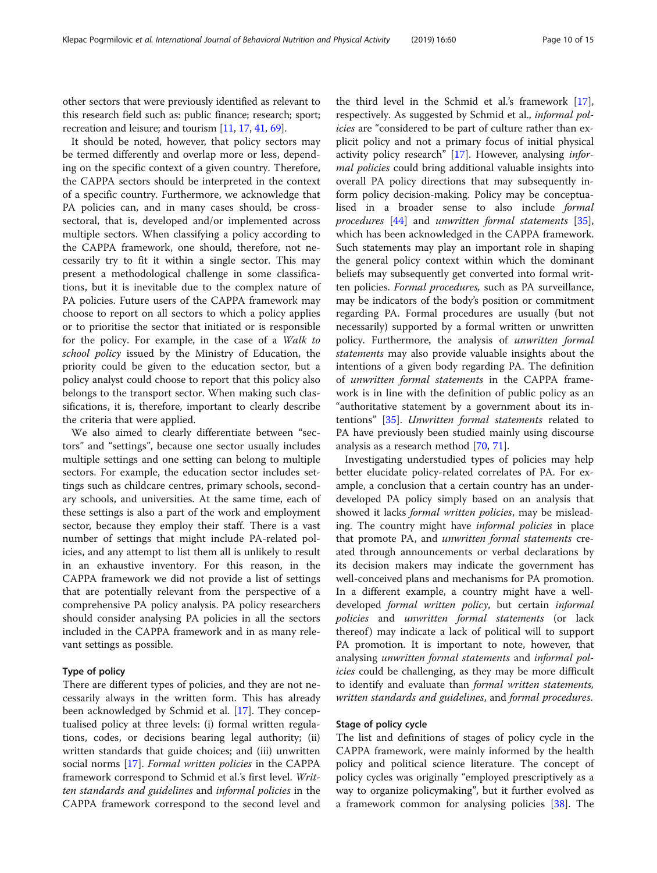other sectors that were previously identified as relevant to this research field such as: public finance; research; sport; recreation and leisure; and tourism [\[11,](#page-13-0) [17](#page-13-0), [41,](#page-14-0) [69\]](#page-14-0).

It should be noted, however, that policy sectors may be termed differently and overlap more or less, depending on the specific context of a given country. Therefore, the CAPPA sectors should be interpreted in the context of a specific country. Furthermore, we acknowledge that PA policies can, and in many cases should, be crosssectoral, that is, developed and/or implemented across multiple sectors. When classifying a policy according to the CAPPA framework, one should, therefore, not necessarily try to fit it within a single sector. This may present a methodological challenge in some classifications, but it is inevitable due to the complex nature of PA policies. Future users of the CAPPA framework may choose to report on all sectors to which a policy applies or to prioritise the sector that initiated or is responsible for the policy. For example, in the case of a Walk to school policy issued by the Ministry of Education, the priority could be given to the education sector, but a policy analyst could choose to report that this policy also belongs to the transport sector. When making such classifications, it is, therefore, important to clearly describe the criteria that were applied.

We also aimed to clearly differentiate between "sectors" and "settings", because one sector usually includes multiple settings and one setting can belong to multiple sectors. For example, the education sector includes settings such as childcare centres, primary schools, secondary schools, and universities. At the same time, each of these settings is also a part of the work and employment sector, because they employ their staff. There is a vast number of settings that might include PA-related policies, and any attempt to list them all is unlikely to result in an exhaustive inventory. For this reason, in the CAPPA framework we did not provide a list of settings that are potentially relevant from the perspective of a comprehensive PA policy analysis. PA policy researchers should consider analysing PA policies in all the sectors included in the CAPPA framework and in as many relevant settings as possible.

### Type of policy

There are different types of policies, and they are not necessarily always in the written form. This has already been acknowledged by Schmid et al. [\[17](#page-13-0)]. They conceptualised policy at three levels: (i) formal written regulations, codes, or decisions bearing legal authority; (ii) written standards that guide choices; and (iii) unwritten social norms [\[17](#page-13-0)]. Formal written policies in the CAPPA framework correspond to Schmid et al.'s first level. Written standards and guidelines and informal policies in the CAPPA framework correspond to the second level and

the third level in the Schmid et al.'s framework [\[17](#page-13-0)], respectively. As suggested by Schmid et al., informal policies are "considered to be part of culture rather than explicit policy and not a primary focus of initial physical activity policy research" [[17\]](#page-13-0). However, analysing informal policies could bring additional valuable insights into overall PA policy directions that may subsequently inform policy decision-making. Policy may be conceptualised in a broader sense to also include formal procedures [[44](#page-14-0)] and unwritten formal statements [\[35](#page-13-0)], which has been acknowledged in the CAPPA framework. Such statements may play an important role in shaping the general policy context within which the dominant beliefs may subsequently get converted into formal written policies. Formal procedures, such as PA surveillance, may be indicators of the body's position or commitment regarding PA. Formal procedures are usually (but not necessarily) supported by a formal written or unwritten policy. Furthermore, the analysis of *unwritten formal* statements may also provide valuable insights about the intentions of a given body regarding PA. The definition of unwritten formal statements in the CAPPA framework is in line with the definition of public policy as an "authoritative statement by a government about its intentions" [[35](#page-13-0)]. Unwritten formal statements related to PA have previously been studied mainly using discourse analysis as a research method [[70,](#page-14-0) [71\]](#page-14-0).

Investigating understudied types of policies may help better elucidate policy-related correlates of PA. For example, a conclusion that a certain country has an underdeveloped PA policy simply based on an analysis that showed it lacks formal written policies, may be misleading. The country might have informal policies in place that promote PA, and unwritten formal statements created through announcements or verbal declarations by its decision makers may indicate the government has well-conceived plans and mechanisms for PA promotion. In a different example, a country might have a welldeveloped formal written policy, but certain informal policies and unwritten formal statements (or lack thereof) may indicate a lack of political will to support PA promotion. It is important to note, however, that analysing unwritten formal statements and informal policies could be challenging, as they may be more difficult to identify and evaluate than formal written statements, written standards and guidelines, and formal procedures.

# Stage of policy cycle

The list and definitions of stages of policy cycle in the CAPPA framework, were mainly informed by the health policy and political science literature. The concept of policy cycles was originally "employed prescriptively as a way to organize policymaking", but it further evolved as a framework common for analysing policies [\[38](#page-13-0)]. The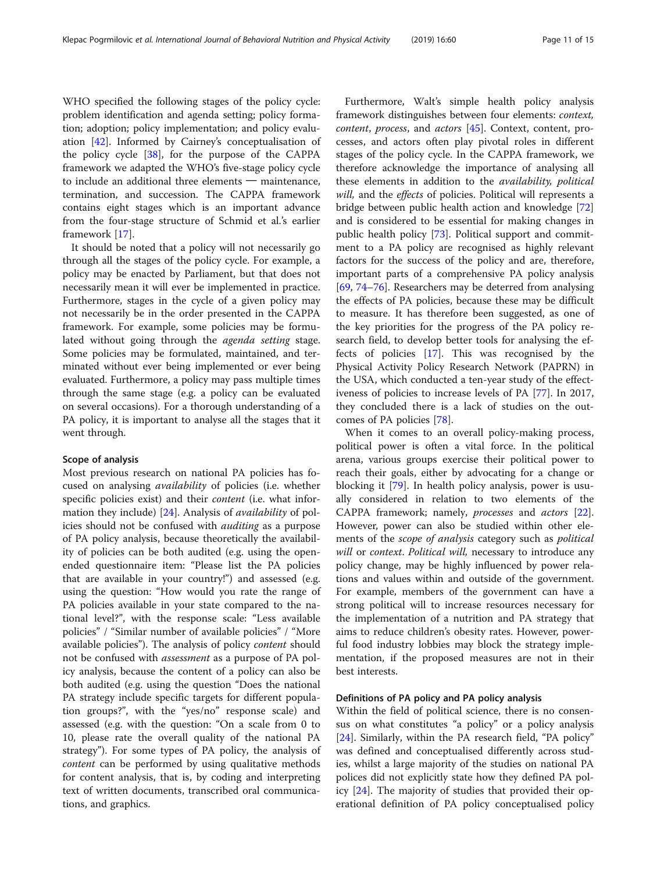WHO specified the following stages of the policy cycle: problem identification and agenda setting; policy formation; adoption; policy implementation; and policy evaluation [[42\]](#page-14-0). Informed by Cairney's conceptualisation of the policy cycle [\[38](#page-13-0)], for the purpose of the CAPPA framework we adapted the WHO's five-stage policy cycle to include an additional three elements ─ maintenance, termination, and succession. The CAPPA framework contains eight stages which is an important advance from the four-stage structure of Schmid et al.'s earlier framework [[17\]](#page-13-0).

It should be noted that a policy will not necessarily go through all the stages of the policy cycle. For example, a policy may be enacted by Parliament, but that does not necessarily mean it will ever be implemented in practice. Furthermore, stages in the cycle of a given policy may not necessarily be in the order presented in the CAPPA framework. For example, some policies may be formulated without going through the agenda setting stage. Some policies may be formulated, maintained, and terminated without ever being implemented or ever being evaluated. Furthermore, a policy may pass multiple times through the same stage (e.g. a policy can be evaluated on several occasions). For a thorough understanding of a PA policy, it is important to analyse all the stages that it went through.

#### Scope of analysis

Most previous research on national PA policies has focused on analysing availability of policies (i.e. whether specific policies exist) and their *content* (i.e. what infor-mation they include) [[24\]](#page-13-0). Analysis of *availability* of policies should not be confused with *auditing* as a purpose of PA policy analysis, because theoretically the availability of policies can be both audited (e.g. using the openended questionnaire item: "Please list the PA policies that are available in your country!") and assessed (e.g. using the question: "How would you rate the range of PA policies available in your state compared to the national level?", with the response scale: "Less available policies" / "Similar number of available policies" / "More available policies"). The analysis of policy content should not be confused with assessment as a purpose of PA policy analysis, because the content of a policy can also be both audited (e.g. using the question "Does the national PA strategy include specific targets for different population groups?", with the "yes/no" response scale) and assessed (e.g. with the question: "On a scale from 0 to 10, please rate the overall quality of the national PA strategy"). For some types of PA policy, the analysis of content can be performed by using qualitative methods for content analysis, that is, by coding and interpreting text of written documents, transcribed oral communications, and graphics.

Furthermore, Walt's simple health policy analysis framework distinguishes between four elements: context, content, process, and actors [[45\]](#page-14-0). Context, content, processes, and actors often play pivotal roles in different stages of the policy cycle. In the CAPPA framework, we therefore acknowledge the importance of analysing all these elements in addition to the *availability*, *political* will, and the *effects* of policies. Political will represents a bridge between public health action and knowledge [[72](#page-14-0)] and is considered to be essential for making changes in public health policy [[73\]](#page-14-0). Political support and commitment to a PA policy are recognised as highly relevant factors for the success of the policy and are, therefore, important parts of a comprehensive PA policy analysis [[69,](#page-14-0) [74](#page-14-0)–[76](#page-14-0)]. Researchers may be deterred from analysing the effects of PA policies, because these may be difficult to measure. It has therefore been suggested, as one of the key priorities for the progress of the PA policy research field, to develop better tools for analysing the effects of policies [\[17](#page-13-0)]. This was recognised by the Physical Activity Policy Research Network (PAPRN) in the USA, which conducted a ten-year study of the effectiveness of policies to increase levels of PA [\[77\]](#page-14-0). In 2017, they concluded there is a lack of studies on the outcomes of PA policies [\[78\]](#page-14-0).

When it comes to an overall policy-making process, political power is often a vital force. In the political arena, various groups exercise their political power to reach their goals, either by advocating for a change or blocking it [[79\]](#page-14-0). In health policy analysis, power is usually considered in relation to two elements of the CAPPA framework; namely, processes and actors [\[22](#page-13-0)]. However, power can also be studied within other elements of the scope of analysis category such as political will or *context*. Political will, necessary to introduce any policy change, may be highly influenced by power relations and values within and outside of the government. For example, members of the government can have a strong political will to increase resources necessary for the implementation of a nutrition and PA strategy that aims to reduce children's obesity rates. However, powerful food industry lobbies may block the strategy implementation, if the proposed measures are not in their best interests.

# Definitions of PA policy and PA policy analysis

Within the field of political science, there is no consensus on what constitutes "a policy" or a policy analysis [[24\]](#page-13-0). Similarly, within the PA research field, "PA policy" was defined and conceptualised differently across studies, whilst a large majority of the studies on national PA polices did not explicitly state how they defined PA policy [[24\]](#page-13-0). The majority of studies that provided their operational definition of PA policy conceptualised policy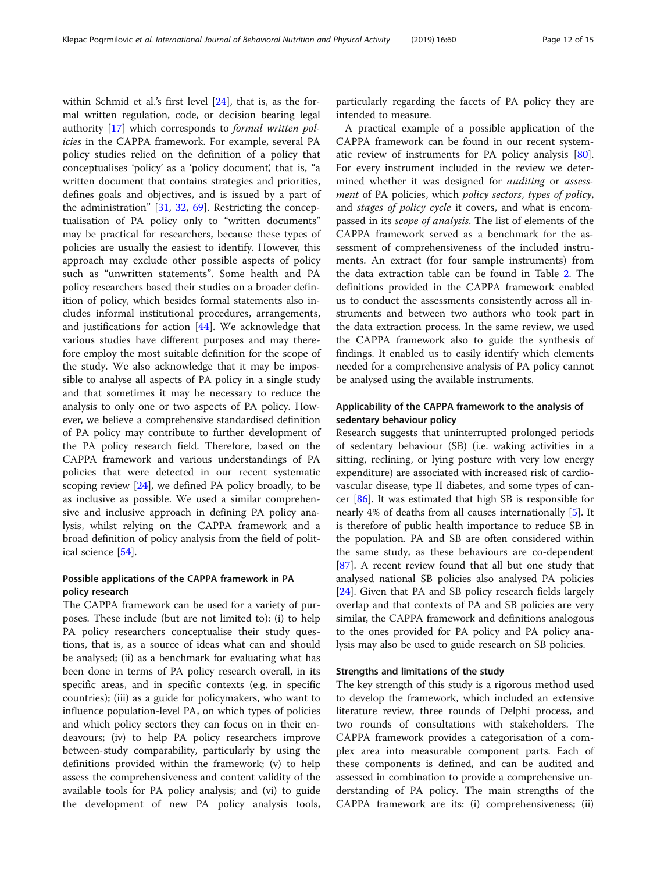within Schmid et al.'s first level [[24](#page-13-0)], that is, as the formal written regulation, code, or decision bearing legal authority [[17\]](#page-13-0) which corresponds to formal written policies in the CAPPA framework. For example, several PA policy studies relied on the definition of a policy that conceptualises 'policy' as a 'policy document', that is, "a written document that contains strategies and priorities, defines goals and objectives, and is issued by a part of the administration" [\[31](#page-13-0), [32,](#page-13-0) [69\]](#page-14-0). Restricting the conceptualisation of PA policy only to "written documents" may be practical for researchers, because these types of policies are usually the easiest to identify. However, this approach may exclude other possible aspects of policy such as "unwritten statements". Some health and PA policy researchers based their studies on a broader definition of policy, which besides formal statements also includes informal institutional procedures, arrangements, and justifications for action [\[44\]](#page-14-0). We acknowledge that various studies have different purposes and may therefore employ the most suitable definition for the scope of the study. We also acknowledge that it may be impossible to analyse all aspects of PA policy in a single study and that sometimes it may be necessary to reduce the analysis to only one or two aspects of PA policy. However, we believe a comprehensive standardised definition of PA policy may contribute to further development of the PA policy research field. Therefore, based on the CAPPA framework and various understandings of PA policies that were detected in our recent systematic scoping review [\[24](#page-13-0)], we defined PA policy broadly, to be as inclusive as possible. We used a similar comprehensive and inclusive approach in defining PA policy analysis, whilst relying on the CAPPA framework and a broad definition of policy analysis from the field of political science [\[54\]](#page-14-0).

# Possible applications of the CAPPA framework in PA policy research

The CAPPA framework can be used for a variety of purposes. These include (but are not limited to): (i) to help PA policy researchers conceptualise their study questions, that is, as a source of ideas what can and should be analysed; (ii) as a benchmark for evaluating what has been done in terms of PA policy research overall, in its specific areas, and in specific contexts (e.g. in specific countries); (iii) as a guide for policymakers, who want to influence population-level PA, on which types of policies and which policy sectors they can focus on in their endeavours; (iv) to help PA policy researchers improve between-study comparability, particularly by using the definitions provided within the framework; (v) to help assess the comprehensiveness and content validity of the available tools for PA policy analysis; and (vi) to guide the development of new PA policy analysis tools,

particularly regarding the facets of PA policy they are intended to measure.

A practical example of a possible application of the CAPPA framework can be found in our recent systematic review of instruments for PA policy analysis [\[80](#page-14-0)]. For every instrument included in the review we determined whether it was designed for *auditing* or *assess*ment of PA policies, which *policy sectors*, types of policy, and *stages of policy cycle* it covers, and what is encompassed in its scope of analysis. The list of elements of the CAPPA framework served as a benchmark for the assessment of comprehensiveness of the included instruments. An extract (for four sample instruments) from the data extraction table can be found in Table [2](#page-12-0). The definitions provided in the CAPPA framework enabled us to conduct the assessments consistently across all instruments and between two authors who took part in the data extraction process. In the same review, we used the CAPPA framework also to guide the synthesis of findings. It enabled us to easily identify which elements needed for a comprehensive analysis of PA policy cannot be analysed using the available instruments.

# Applicability of the CAPPA framework to the analysis of sedentary behaviour policy

Research suggests that uninterrupted prolonged periods of sedentary behaviour (SB) (i.e. waking activities in a sitting, reclining, or lying posture with very low energy expenditure) are associated with increased risk of cardiovascular disease, type II diabetes, and some types of cancer [[86\]](#page-14-0). It was estimated that high SB is responsible for nearly 4% of deaths from all causes internationally [[5\]](#page-13-0). It is therefore of public health importance to reduce SB in the population. PA and SB are often considered within the same study, as these behaviours are co-dependent [[87\]](#page-14-0). A recent review found that all but one study that analysed national SB policies also analysed PA policies [[24\]](#page-13-0). Given that PA and SB policy research fields largely overlap and that contexts of PA and SB policies are very similar, the CAPPA framework and definitions analogous to the ones provided for PA policy and PA policy analysis may also be used to guide research on SB policies.

#### Strengths and limitations of the study

The key strength of this study is a rigorous method used to develop the framework, which included an extensive literature review, three rounds of Delphi process, and two rounds of consultations with stakeholders. The CAPPA framework provides a categorisation of a complex area into measurable component parts. Each of these components is defined, and can be audited and assessed in combination to provide a comprehensive understanding of PA policy. The main strengths of the CAPPA framework are its: (i) comprehensiveness; (ii)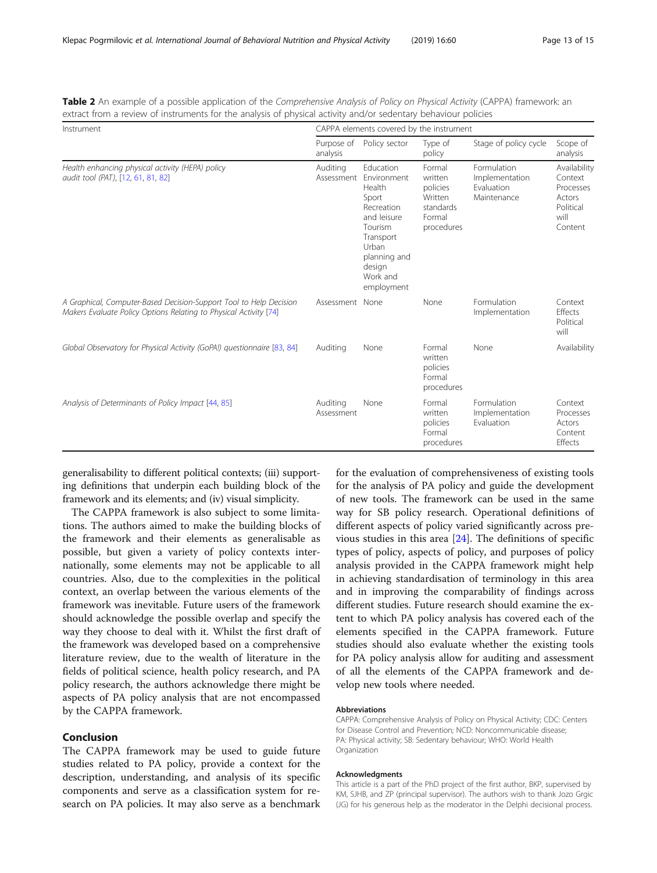| Instrument                                                                                                                              | CAPPA elements covered by the instrument |                                                                                                                                                                          |                                                                               |                                                            |                                                                                |  |  |
|-----------------------------------------------------------------------------------------------------------------------------------------|------------------------------------------|--------------------------------------------------------------------------------------------------------------------------------------------------------------------------|-------------------------------------------------------------------------------|------------------------------------------------------------|--------------------------------------------------------------------------------|--|--|
|                                                                                                                                         | Purpose of<br>analysis                   | Policy sector                                                                                                                                                            | Type of<br>policy                                                             | Stage of policy cycle                                      | Scope of<br>analysis                                                           |  |  |
| Health enhancing physical activity (HEPA) policy<br>audit tool (PAT), [12, 61, 81, 82]                                                  | Auditing                                 | Education<br>Assessment Environment<br>Health<br>Sport<br>Recreation<br>and leisure<br>Tourism<br>Transport<br>Urban<br>planning and<br>design<br>Work and<br>employment | Formal<br>written<br>policies<br>Written<br>standards<br>Formal<br>procedures | Formulation<br>Implementation<br>Fvaluation<br>Maintenance | Availability<br>Context<br>Processes<br>Actors<br>Political<br>will<br>Content |  |  |
| A Graphical, Computer-Based Decision-Support Tool to Help Decision<br>Makers Evaluate Policy Options Relating to Physical Activity [74] | Assessment None                          |                                                                                                                                                                          | None                                                                          | Formulation<br>Implementation                              | Context<br>Effects<br>Political<br>will                                        |  |  |
| Global Observatory for Physical Activity (GoPA!) questionnaire [83, 84]                                                                 | Auditing                                 | None                                                                                                                                                                     | Formal<br>written<br>policies<br>Formal<br>procedures                         | None                                                       | Availability                                                                   |  |  |
| Analysis of Determinants of Policy Impact [44, 85]                                                                                      | Auditing<br>Assessment                   | None                                                                                                                                                                     | Formal<br>written<br>policies<br>Formal<br>procedures                         | Formulation<br>Implementation<br>Evaluation                | Context<br>Processes<br>Actors<br>Content<br>Effects                           |  |  |

<span id="page-12-0"></span>Table 2 An example of a possible application of the Comprehensive Analysis of Policy on Physical Activity (CAPPA) framework: an extract from a review of instruments for the analysis of physical activity and/or sedentary behaviour policies

generalisability to different political contexts; (iii) supporting definitions that underpin each building block of the framework and its elements; and (iv) visual simplicity.

The CAPPA framework is also subject to some limitations. The authors aimed to make the building blocks of the framework and their elements as generalisable as possible, but given a variety of policy contexts internationally, some elements may not be applicable to all countries. Also, due to the complexities in the political context, an overlap between the various elements of the framework was inevitable. Future users of the framework should acknowledge the possible overlap and specify the way they choose to deal with it. Whilst the first draft of the framework was developed based on a comprehensive literature review, due to the wealth of literature in the fields of political science, health policy research, and PA policy research, the authors acknowledge there might be aspects of PA policy analysis that are not encompassed by the CAPPA framework.

# Conclusion

The CAPPA framework may be used to guide future studies related to PA policy, provide a context for the description, understanding, and analysis of its specific components and serve as a classification system for research on PA policies. It may also serve as a benchmark for the evaluation of comprehensiveness of existing tools for the analysis of PA policy and guide the development of new tools. The framework can be used in the same way for SB policy research. Operational definitions of different aspects of policy varied significantly across previous studies in this area  $[24]$ . The definitions of specific types of policy, aspects of policy, and purposes of policy analysis provided in the CAPPA framework might help in achieving standardisation of terminology in this area and in improving the comparability of findings across different studies. Future research should examine the extent to which PA policy analysis has covered each of the elements specified in the CAPPA framework. Future studies should also evaluate whether the existing tools for PA policy analysis allow for auditing and assessment of all the elements of the CAPPA framework and develop new tools where needed.

#### Abbreviations

CAPPA: Comprehensive Analysis of Policy on Physical Activity; CDC: Centers for Disease Control and Prevention; NCD: Noncommunicable disease; PA: Physical activity; SB: Sedentary behaviour; WHO: World Health Organization

#### Acknowledgments

This article is a part of the PhD project of the first author, BKP, supervised by KM, SJHB, and ZP (principal supervisor). The authors wish to thank Jozo Grgic (JG) for his generous help as the moderator in the Delphi decisional process.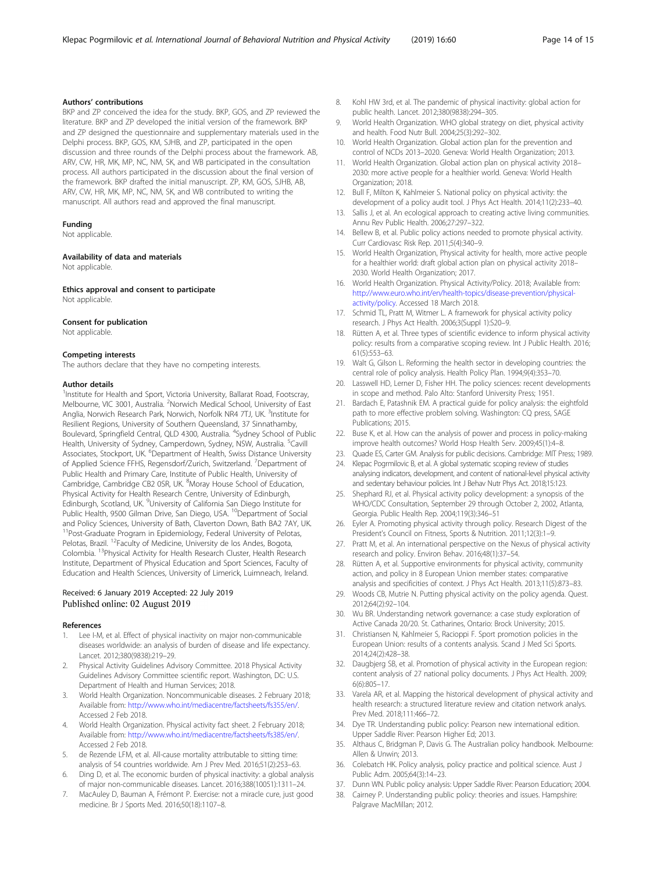# <span id="page-13-0"></span>Authors' contributions

BKP and ZP conceived the idea for the study. BKP, GOS, and ZP reviewed the literature. BKP and ZP developed the initial version of the framework. BKP and ZP designed the questionnaire and supplementary materials used in the Delphi process. BKP, GOS, KM, SJHB, and ZP, participated in the open discussion and three rounds of the Delphi process about the framework. AB, ARV, CW, HR, MK, MP, NC, NM, SK, and WB participated in the consultation process. All authors participated in the discussion about the final version of the framework. BKP drafted the initial manuscript. ZP, KM, GOS, SJHB, AB, ARV, CW, HR, MK, MP, NC, NM, SK, and WB contributed to writing the manuscript. All authors read and approved the final manuscript.

#### Funding

Not applicable.

# Availability of data and materials

Not applicable.

Ethics approval and consent to participate Not applicable.

#### Consent for publication

Not applicable.

#### Competing interests

The authors declare that they have no competing interests.

#### Author details

<sup>1</sup>Institute for Health and Sport, Victoria University, Ballarat Road, Footscray, Melbourne, VIC 3001, Australia. <sup>2</sup>Norwich Medical School, University of East Anglia, Norwich Research Park, Norwich, Norfolk NR4 7TJ, UK. <sup>3</sup>Institute for Resilient Regions, University of Southern Queensland, 37 Sinnathamby, Boulevard, Springfield Central, QLD 4300, Australia. <sup>4</sup>Sydney School of Public Health, University of Sydney, Camperdown, Sydney, NSW, Australia. <sup>5</sup>Cavill Associates, Stockport, UK. <sup>6</sup>Department of Health, Swiss Distance University of Applied Science FFHS, Regensdorf/Zurich, Switzerland. <sup>7</sup>Department of Public Health and Primary Care, Institute of Public Health, University of Cambridge, Cambridge CB2 0SR, UK. <sup>8</sup>Moray House School of Education, Physical Activity for Health Research Centre, University of Edinburgh, Edinburgh, Scotland, UK. <sup>9</sup>University of California San Diego Institute for Public Health, 9500 Gilman Drive, San Diego, USA. <sup>10</sup>Department of Social and Policy Sciences, University of Bath, Claverton Down, Bath BA2 7AY, UK. 11Post-Graduate Program in Epidemiology, Federal University of Pelotas, Pelotas, Brazil. 12Faculty of Medicine, University de los Andes, Bogota, Colombia. 13Physical Activity for Health Research Cluster, Health Research Institute, Department of Physical Education and Sport Sciences, Faculty of Education and Health Sciences, University of Limerick, Luimneach, Ireland.

#### Received: 6 January 2019 Accepted: 22 July 2019 Published online: 02 August 2019

#### References

- 1. Lee I-M, et al. Effect of physical inactivity on major non-communicable diseases worldwide: an analysis of burden of disease and life expectancy. Lancet. 2012;380(9838):219–29.
- 2. Physical Activity Guidelines Advisory Committee. 2018 Physical Activity Guidelines Advisory Committee scientific report. Washington, DC: U.S. Department of Health and Human Services; 2018.
- 3. World Health Organization. Noncommunicable diseases. 2 February 2018; Available from: <http://www.who.int/mediacentre/factsheets/fs355/en/>. Accessed 2 Feb 2018.
- 4. World Health Organization. Physical activity fact sheet. 2 February 2018; Available from: <http://www.who.int/mediacentre/factsheets/fs385/en/>. Accessed 2 Feb 2018.
- 5. de Rezende LFM, et al. All-cause mortality attributable to sitting time: analysis of 54 countries worldwide. Am J Prev Med. 2016;51(2):253–63.
- 6. Ding D, et al. The economic burden of physical inactivity: a global analysis of major non-communicable diseases. Lancet. 2016;388(10051):1311–24.
- 7. MacAuley D, Bauman A, Frémont P. Exercise: not a miracle cure, just good medicine. Br J Sports Med. 2016;50(18):1107–8.
- 8. Kohl HW 3rd, et al. The pandemic of physical inactivity: global action for public health. Lancet. 2012;380(9838):294–305.
- 9. World Health Organization. WHO global strategy on diet, physical activity and health. Food Nutr Bull. 2004;25(3):292–302.
- 10. World Health Organization. Global action plan for the prevention and control of NCDs 2013–2020. Geneva: World Health Organization; 2013.
- 11. World Health Organization. Global action plan on physical activity 2018– 2030: more active people for a healthier world. Geneva: World Health Organization; 2018.
- 12. Bull F, Milton K, Kahlmeier S. National policy on physical activity: the development of a policy audit tool. J Phys Act Health. 2014;11(2):233–40.
- 13. Sallis J, et al. An ecological approach to creating active living communities. Annu Rev Public Health. 2006;27:297–322.
- 14. Bellew B, et al. Public policy actions needed to promote physical activity. Curr Cardiovasc Risk Rep. 2011;5(4):340–9.
- 15. World Health Organization, Physical activity for health, more active people for a healthier world: draft global action plan on physical activity 2018– 2030. World Health Organization; 2017.
- 16. World Health Organization. Physical Activity/Policy. 2018; Available from: [http://www.euro.who.int/en/health-topics/disease-prevention/physical](http://www.euro.who.int/en/health-topics/disease-prevention/physical-activity/policy)[activity/policy.](http://www.euro.who.int/en/health-topics/disease-prevention/physical-activity/policy) Accessed 18 March 2018.
- 17. Schmid TL, Pratt M, Witmer L. A framework for physical activity policy research. J Phys Act Health. 2006;3(Suppl 1):S20–9.
- 18. Rütten A, et al. Three types of scientific evidence to inform physical activity policy: results from a comparative scoping review. Int J Public Health. 2016; 61(5):553–63.
- 19. Walt G, Gilson L. Reforming the health sector in developing countries: the central role of policy analysis. Health Policy Plan. 1994;9(4):353–70.
- 20. Lasswell HD, Lerner D, Fisher HH. The policy sciences: recent developments in scope and method. Palo Alto: Stanford University Press; 1951.
- 21. Bardach E, Patashnik EM. A practical guide for policy analysis: the eightfold path to more effective problem solving. Washington: CQ press, SAGE Publications; 2015.
- 22. Buse K, et al. How can the analysis of power and process in policy-making improve health outcomes? World Hosp Health Serv. 2009;45(1):4–8.
- 23. Quade ES, Carter GM. Analysis for public decisions. Cambridge: MIT Press; 1989.
- 24. Klepac Pogrmilovic B, et al. A global systematic scoping review of studies analysing indicators, development, and content of national-level physical activity and sedentary behaviour policies. Int J Behav Nutr Phys Act. 2018;15:123.
- 25. Shephard RJ, et al. Physical activity policy development: a synopsis of the WHO/CDC Consultation, September 29 through October 2, 2002, Atlanta, Georgia. Public Health Rep. 2004;119(3):346–51
- 26. Eyler A. Promoting physical activity through policy. Research Digest of the President's Council on Fitness, Sports & Nutrition. 2011;12(3):1–9.
- 27. Pratt M, et al. An international perspective on the Nexus of physical activity research and policy. Environ Behav. 2016;48(1):37–54.
- 28. Rütten A, et al. Supportive environments for physical activity, community action, and policy in 8 European Union member states: comparative analysis and specificities of context. J Phys Act Health. 2013;11(5):873–83.
- 29. Woods CB, Mutrie N. Putting physical activity on the policy agenda. Quest. 2012;64(2):92–104.
- 30. Wu BR. Understanding network governance: a case study exploration of Active Canada 20/20. St. Catharines, Ontario: Brock University; 2015.
- 31. Christiansen N, Kahlmeier S, Racioppi F. Sport promotion policies in the European Union: results of a contents analysis. Scand J Med Sci Sports. 2014;24(2):428–38.
- 32. Daugbjerg SB, et al. Promotion of physical activity in the European region: content analysis of 27 national policy documents. J Phys Act Health. 2009; 6(6):805–17.
- 33. Varela AR, et al. Mapping the historical development of physical activity and health research: a structured literature review and citation network analys. Prev Med. 2018;111:466–72.
- 34. Dye TR. Understanding public policy: Pearson new international edition. Upper Saddle River: Pearson Higher Ed; 2013.
- 35. Althaus C, Bridgman P, Davis G. The Australian policy handbook. Melbourne: Allen & Unwin; 2013.
- 36. Colebatch HK. Policy analysis, policy practice and political science. Aust J Public Adm. 2005;64(3):14–23.
- 37. Dunn WN. Public policy analysis: Upper Saddle River: Pearson Education; 2004.
- 38. Cairney P. Understanding public policy: theories and issues. Hampshire: Palgrave MacMillan; 2012.